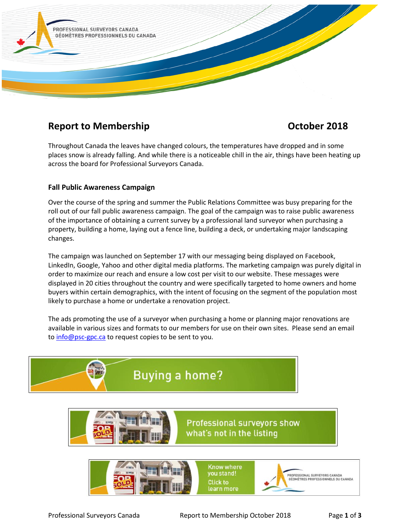

# **Report to Membership Contract Contract Contract Contract Contract Contract Contract Contract Contract Contract Contract Contract Contract Contract Contract Contract Contract Contract Contract Contract Contract Contract Co**

Throughout Canada the leaves have changed colours, the temperatures have dropped and in some places snow is already falling. And while there is a noticeable chill in the air, things have been heating up across the board for Professional Surveyors Canada.

# **Fall Public Awareness Campaign**

Over the course of the spring and summer the Public Relations Committee was busy preparing for the roll out of our fall public awareness campaign. The goal of the campaign was to raise public awareness of the importance of obtaining a current survey by a professional land surveyor when purchasing a property, building a home, laying out a fence line, building a deck, or undertaking major landscaping changes.

The campaign was launched on September 17 with our messaging being displayed on Facebook, LinkedIn, Google, Yahoo and other digital media platforms. The marketing campaign was purely digital in order to maximize our reach and ensure a low cost per visit to our website. These messages were displayed in 20 cities throughout the country and were specifically targeted to home owners and home buyers within certain demographics, with the intent of focusing on the segment of the population most likely to purchase a home or undertake a renovation project.

The ads promoting the use of a surveyor when purchasing a home or planning major renovations are available in various sizes and formats to our members for use on their own sites. Please send an email to [info@psc-gpc.ca](mailto:info@psc-gpc.ca) to request copies to be sent to you.





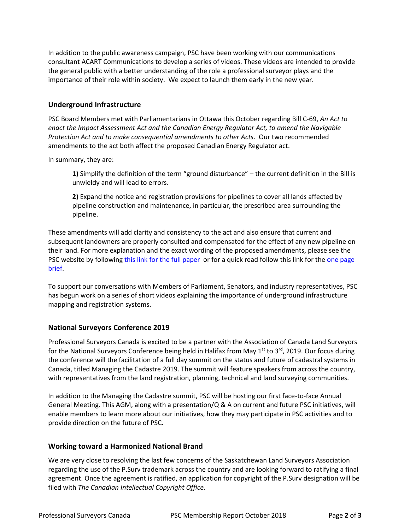In addition to the public awareness campaign, PSC have been working with our communications consultant ACART Communications to develop a series of videos. These videos are intended to provide the general public with a better understanding of the role a professional surveyor plays and the importance of their role within society. We expect to launch them early in the new year.

### **Underground Infrastructure**

PSC Board Members met with Parliamentarians in Ottawa this October regarding Bill C-69, *An Act to enact the Impact Assessment Act and the Canadian Energy Regulator Act, to amend the Navigable Protection Act and to make consequential amendments to other Acts*. Our two recommended amendments to the act both affect the proposed Canadian Energy Regulator act.

In summary, they are:

**1)** Simplify the definition of the term "ground disturbance" – the current definition in the Bill is unwieldy and will lead to errors.

**2)** Expand the notice and registration provisions for pipelines to cover all lands affected by pipeline construction and maintenance, in particular, the prescribed area surrounding the pipeline.

These amendments will add clarity and consistency to the act and also ensure that current and subsequent landowners are properly consulted and compensated for the effect of any new pipeline on their land. For more explanation and the exact wording of the proposed amendments, please see the PSC website by following [this link for the full paper](https://www.psc-gpc.ca/wp-content/uploads/2018/07/PSC-Bill-C-69-Position-Paper-2018-07-26-G.pdf) or for a quick read follow this link for the one page [brief.](https://www.psc-gpc.ca/wp-content/uploads/2018/10/Professional-Surveyors-Canada-Bill-C69_onepage-Rev.pdf)

To support our conversations with Members of Parliament, Senators, and industry representatives, PSC has begun work on a series of short videos explaining the importance of underground infrastructure mapping and registration systems.

# **National Surveyors Conference 2019**

Professional Surveyors Canada is excited to be a partner with the Association of Canada Land Surveyors for the National Surveyors Conference being held in Halifax from May 1<sup>st</sup> to 3<sup>rd</sup>, 2019. Our focus during the conference will the facilitation of a full day summit on the status and future of cadastral systems in Canada, titled Managing the Cadastre 2019. The summit will feature speakers from across the country, with representatives from the land registration, planning, technical and land surveying communities.

In addition to the Managing the Cadastre summit, PSC will be hosting our first face-to-face Annual General Meeting. This AGM, along with a presentation/Q & A on current and future PSC initiatives, will enable members to learn more about our initiatives, how they may participate in PSC activities and to provide direction on the future of PSC.

#### **Working toward a Harmonized National Brand**

We are very close to resolving the last few concerns of the Saskatchewan Land Surveyors Association regarding the use of the P.Surv trademark across the country and are looking forward to ratifying a final agreement. Once the agreement is ratified, an application for copyright of the P.Surv designation will be filed with *The Canadian Intellectual Copyright Office.*